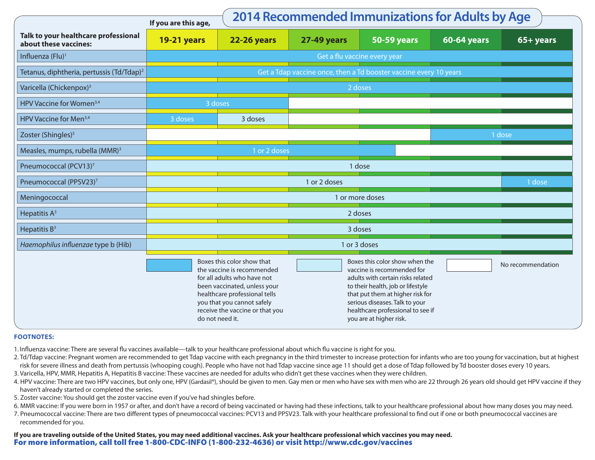|                                                               | 2014 Recommended Immunizations for Adults by Age<br>If you are this age, |                                                                                                                                                                                                                           |                                                                                                                                                                                                                                                                              |                    |                    |           |  |  |  |  |  |
|---------------------------------------------------------------|--------------------------------------------------------------------------|---------------------------------------------------------------------------------------------------------------------------------------------------------------------------------------------------------------------------|------------------------------------------------------------------------------------------------------------------------------------------------------------------------------------------------------------------------------------------------------------------------------|--------------------|--------------------|-----------|--|--|--|--|--|
| Talk to your healthcare professional<br>about these vaccines: | <b>19-21 years</b>                                                       | <b>22-26 years</b>                                                                                                                                                                                                        | <b>27-49 years</b>                                                                                                                                                                                                                                                           | <b>50-59 years</b> | <b>60-64 years</b> | 65+ years |  |  |  |  |  |
| Influenza (Flu) <sup>1</sup>                                  | Get a flu vaccine every year                                             |                                                                                                                                                                                                                           |                                                                                                                                                                                                                                                                              |                    |                    |           |  |  |  |  |  |
| Tetanus, diphtheria, pertussis (Td/Tdap) <sup>2</sup>         | Get a Tdap vaccine once, then a Td booster vaccine every 10 years        |                                                                                                                                                                                                                           |                                                                                                                                                                                                                                                                              |                    |                    |           |  |  |  |  |  |
| Varicella (Chickenpox) <sup>3</sup>                           | 2 doses                                                                  |                                                                                                                                                                                                                           |                                                                                                                                                                                                                                                                              |                    |                    |           |  |  |  |  |  |
| HPV Vaccine for Women <sup>3,4</sup>                          | 3 doses                                                                  |                                                                                                                                                                                                                           |                                                                                                                                                                                                                                                                              |                    |                    |           |  |  |  |  |  |
| HPV Vaccine for Men <sup>3,4</sup>                            | 3 doses                                                                  | 3 doses                                                                                                                                                                                                                   |                                                                                                                                                                                                                                                                              |                    |                    |           |  |  |  |  |  |
| Zoster (Shingles) <sup>5</sup>                                |                                                                          |                                                                                                                                                                                                                           |                                                                                                                                                                                                                                                                              |                    |                    | 1 dose    |  |  |  |  |  |
| Measles, mumps, rubella (MMR) <sup>3</sup>                    |                                                                          | 1 or 2 doses                                                                                                                                                                                                              |                                                                                                                                                                                                                                                                              |                    |                    |           |  |  |  |  |  |
| Pneumococcal (PCV13) <sup>7</sup>                             | 1 dose                                                                   |                                                                                                                                                                                                                           |                                                                                                                                                                                                                                                                              |                    |                    |           |  |  |  |  |  |
| Pneumococcal (PPSV23) <sup>7</sup>                            | 1 or 2 doses<br>1 dose                                                   |                                                                                                                                                                                                                           |                                                                                                                                                                                                                                                                              |                    |                    |           |  |  |  |  |  |
| Meningococcal                                                 | 1 or more doses                                                          |                                                                                                                                                                                                                           |                                                                                                                                                                                                                                                                              |                    |                    |           |  |  |  |  |  |
| Hepatitis $A^3$                                               | 2 doses                                                                  |                                                                                                                                                                                                                           |                                                                                                                                                                                                                                                                              |                    |                    |           |  |  |  |  |  |
| Hepatitis $B^3$                                               | 3 doses                                                                  |                                                                                                                                                                                                                           |                                                                                                                                                                                                                                                                              |                    |                    |           |  |  |  |  |  |
| Haemophilus influenzae type b (Hib)                           | 1 or 3 doses                                                             |                                                                                                                                                                                                                           |                                                                                                                                                                                                                                                                              |                    |                    |           |  |  |  |  |  |
|                                                               | do not need it.                                                          | Boxes this color show that<br>the vaccine is recommended<br>for all adults who have not<br>been vaccinated, unless your<br>healthcare professional tells<br>you that you cannot safely<br>receive the vaccine or that you | Boxes this color show when the<br>vaccine is recommended for<br>adults with certain risks related<br>to their health, job or lifestyle<br>that put them at higher risk for<br>serious diseases. Talk to your<br>healthcare professional to see if<br>you are at higher risk. |                    | No recommendation  |           |  |  |  |  |  |

## **FOOTNOTES:**

- 1. Influenza vaccine: There are several flu vaccines available—talk to your healthcare professional about which flu vaccine is right for you.
- 2. Td/Tdap vaccine: Pregnant women are recommended to get Tdap vaccine with each pregnancy in the third trimester to increase protection for infants who are too young for vaccination, but at highest risk for severe illness and death from pertussis (whooping cough). People who have not had Tdap vaccine since age 11 should get a dose of Tdap followed by Td booster doses every 10 years.
- 3. Varicella, HPV, MMR, Hepatitis A, Hepatitis B vaccine: These vaccines are needed for adults who didn't get these vaccines when they were children.
- 4. HPV vaccine: There are two HPV vaccines, but only one, HPV (Gardasil®), should be given to men. Gay men or men who have sex with men who are 22 through 26 years old should get HPV vaccine if they haven't already started or completed the series.
- 5. Zoster vaccine: You should get the zoster vaccine even if you've had shingles before.
- 6. MMR vaccine: If you were born in 1957 or after, and don't have a record of being vaccinated or having had these infections, talk to your healthcare professional about how many doses you may need.
- 7. Pneumococcal vaccine: There are two different types of pneumococcal vaccines: PCV13 and PPSV23. Talk with your healthcare professional to find out if one or both pneumococcal vaccines are recommended for you.

**If you are traveling outside of the United States, you may need additional vaccines. Ask your healthcare professional which vaccines you may need.**  For more information, call toll free 1-800-CDC-INFO (1-800-232-4636) or visit http://www.cdc.gov/vaccines